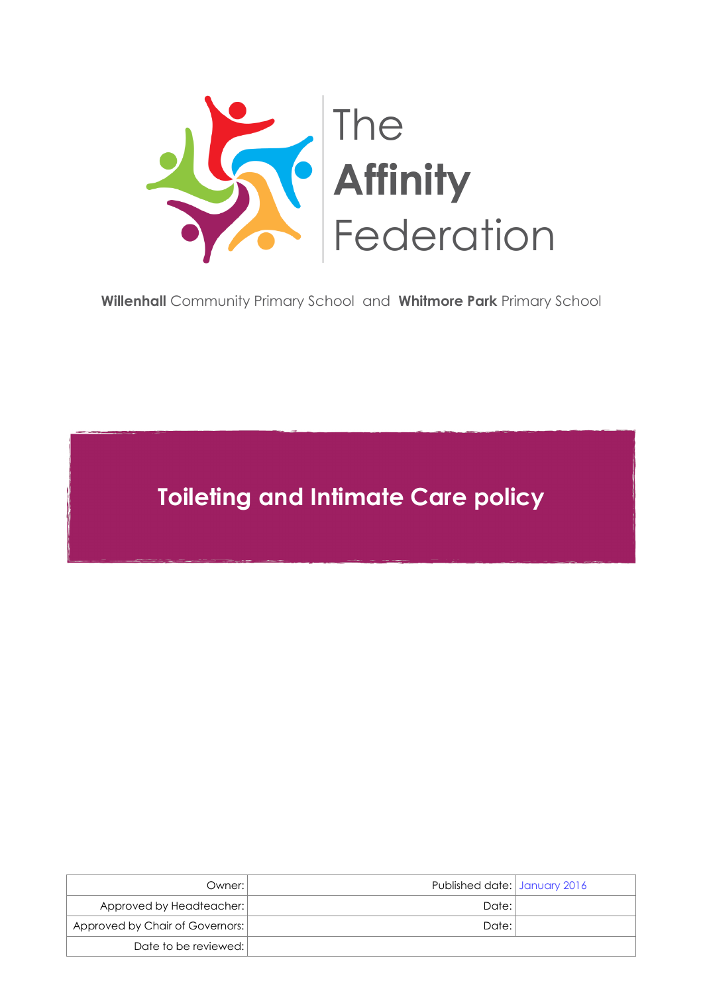

**Willenhall** [Community Primary School](http://www.willenhallprimary.org/) and **Whitmore Park** [Primary School](http://www.whitmorepark.org/)

**Toileting and Intimate Care policy**

| Owner: I                        | Published date: January 2016 |  |
|---------------------------------|------------------------------|--|
| Approved by Headteacher:        | Date: I                      |  |
| Approved by Chair of Governors: | Date:                        |  |
| Date to be reviewed:            |                              |  |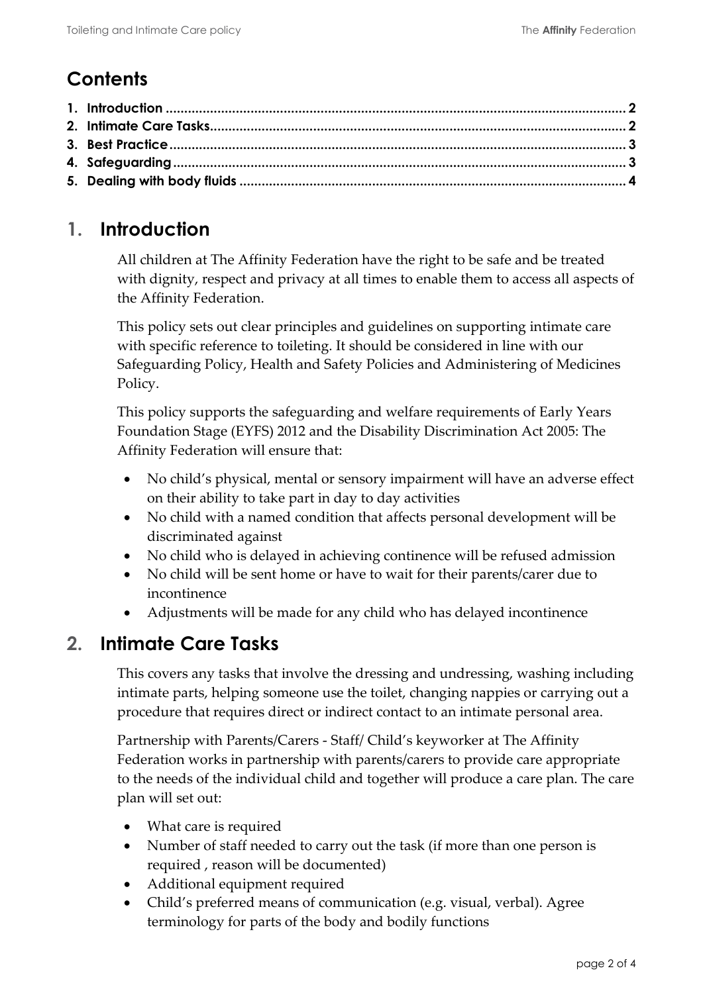# **Contents**

## <span id="page-1-0"></span>**1. Introduction**

All children at The Affinity Federation have the right to be safe and be treated with dignity, respect and privacy at all times to enable them to access all aspects of the Affinity Federation.

This policy sets out clear principles and guidelines on supporting intimate care with specific reference to toileting. It should be considered in line with our Safeguarding Policy, Health and Safety Policies and Administering of Medicines Policy.

This policy supports the safeguarding and welfare requirements of Early Years Foundation Stage (EYFS) 2012 and the Disability Discrimination Act 2005: The Affinity Federation will ensure that:

- No child's physical, mental or sensory impairment will have an adverse effect on their ability to take part in day to day activities
- No child with a named condition that affects personal development will be discriminated against
- No child who is delayed in achieving continence will be refused admission
- No child will be sent home or have to wait for their parents/carer due to incontinence
- Adjustments will be made for any child who has delayed incontinence

### <span id="page-1-1"></span>**2. Intimate Care Tasks**

This covers any tasks that involve the dressing and undressing, washing including intimate parts, helping someone use the toilet, changing nappies or carrying out a procedure that requires direct or indirect contact to an intimate personal area.

Partnership with Parents/Carers - Staff/ Child's keyworker at The Affinity Federation works in partnership with parents/carers to provide care appropriate to the needs of the individual child and together will produce a care plan. The care plan will set out:

- What care is required
- Number of staff needed to carry out the task (if more than one person is required , reason will be documented)
- Additional equipment required
- Child's preferred means of communication (e.g. visual, verbal). Agree terminology for parts of the body and bodily functions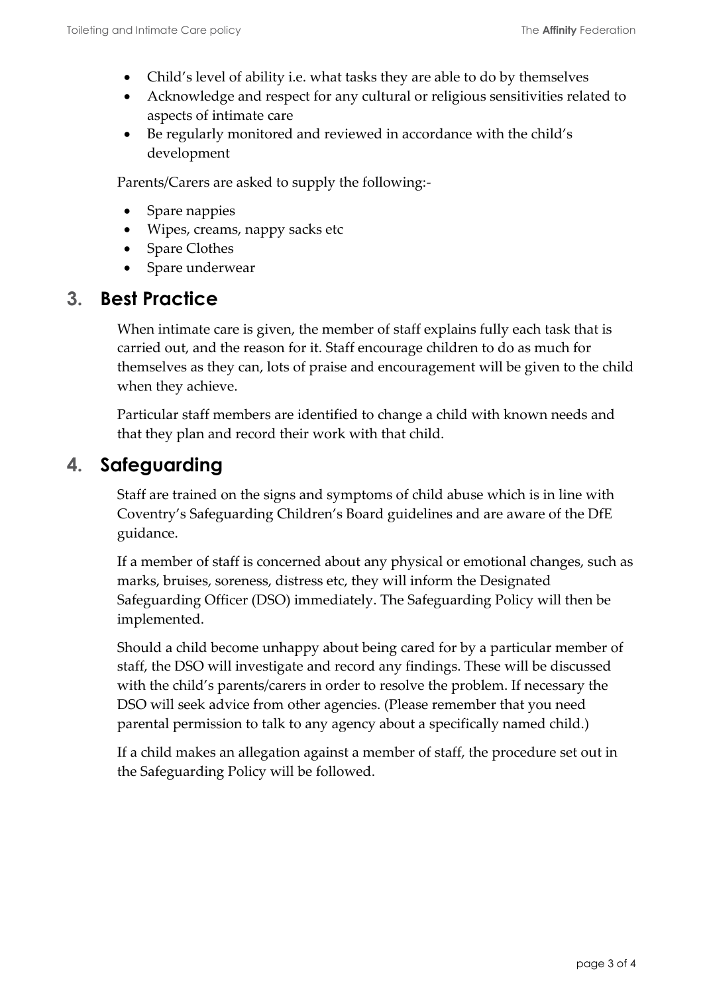- Child's level of ability i.e. what tasks they are able to do by themselves
- Acknowledge and respect for any cultural or religious sensitivities related to aspects of intimate care
- Be regularly monitored and reviewed in accordance with the child's development

Parents/Carers are asked to supply the following:-

- Spare nappies
- Wipes, creams, nappy sacks etc
- Spare Clothes
- Spare underwear

#### <span id="page-2-0"></span>**3. Best Practice**

When intimate care is given, the member of staff explains fully each task that is carried out, and the reason for it. Staff encourage children to do as much for themselves as they can, lots of praise and encouragement will be given to the child when they achieve.

Particular staff members are identified to change a child with known needs and that they plan and record their work with that child.

### <span id="page-2-1"></span>**4. Safeguarding**

Staff are trained on the signs and symptoms of child abuse which is in line with Coventry's Safeguarding Children's Board guidelines and are aware of the DfE guidance.

If a member of staff is concerned about any physical or emotional changes, such as marks, bruises, soreness, distress etc, they will inform the Designated Safeguarding Officer (DSO) immediately. The Safeguarding Policy will then be implemented.

Should a child become unhappy about being cared for by a particular member of staff, the DSO will investigate and record any findings. These will be discussed with the child's parents/carers in order to resolve the problem. If necessary the DSO will seek advice from other agencies. (Please remember that you need parental permission to talk to any agency about a specifically named child.)

If a child makes an allegation against a member of staff, the procedure set out in the Safeguarding Policy will be followed.